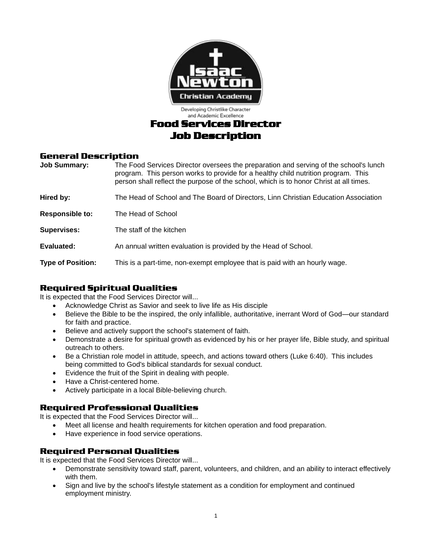

## **General Description**

| <b>Job Summary:</b>      | The Food Services Director oversees the preparation and serving of the school's lunch<br>program. This person works to provide for a healthy child nutrition program. This<br>person shall reflect the purpose of the school, which is to honor Christ at all times. |
|--------------------------|----------------------------------------------------------------------------------------------------------------------------------------------------------------------------------------------------------------------------------------------------------------------|
| Hired by:                | The Head of School and The Board of Directors, Linn Christian Education Association                                                                                                                                                                                  |
| <b>Responsible to:</b>   | The Head of School                                                                                                                                                                                                                                                   |
| <b>Supervises:</b>       | The staff of the kitchen                                                                                                                                                                                                                                             |
| Evaluated:               | An annual written evaluation is provided by the Head of School.                                                                                                                                                                                                      |
| <b>Type of Position:</b> | This is a part-time, non-exempt employee that is paid with an hourly wage.                                                                                                                                                                                           |

# **Required Spiritual Qualities**

It is expected that the Food Services Director will...

- Acknowledge Christ as Savior and seek to live life as His disciple
- Believe the Bible to be the inspired, the only infallible, authoritative, inerrant Word of God—our standard for faith and practice.
- Believe and actively support the school's statement of faith.
- Demonstrate a desire for spiritual growth as evidenced by his or her prayer life, Bible study, and spiritual outreach to others.
- Be a Christian role model in attitude, speech, and actions toward others (Luke 6:40). This includes being committed to God's biblical standards for sexual conduct.
- Evidence the fruit of the Spirit in dealing with people.
- Have a Christ-centered home.
- Actively participate in a local Bible-believing church.

#### **Required Professional Qualities**

It is expected that the Food Services Director will...

- Meet all license and health requirements for kitchen operation and food preparation.
- Have experience in food service operations.

# **Required Personal Qualities**

It is expected that the Food Services Director will...

- Demonstrate sensitivity toward staff, parent, volunteers, and children, and an ability to interact effectively with them.
- Sign and live by the school's lifestyle statement as a condition for employment and continued employment ministry.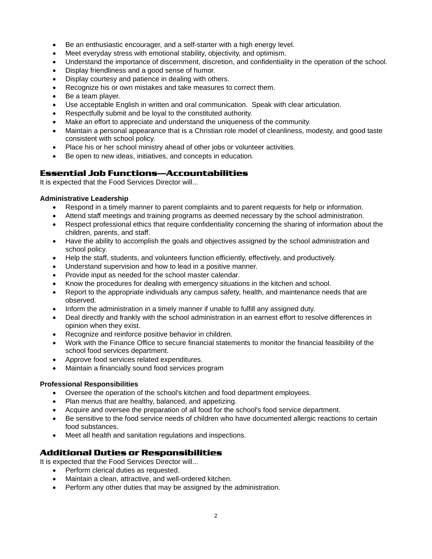- Be an enthusiastic encourager, and a self-starter with a high energy level.
- Meet everyday stress with emotional stability, objectivity, and optimism.
- Understand the importance of discernment, discretion, and confidentiality in the operation of the school.
- Display friendliness and a good sense of humor.
- Display courtesy and patience in dealing with others.
- Recognize his or own mistakes and take measures to correct them.
- Be a team player.
- Use acceptable English in written and oral communication. Speak with clear articulation.
- Respectfully submit and be loyal to the constituted authority.
- Make an effort to appreciate and understand the uniqueness of the community.
- Maintain a personal appearance that is a Christian role model of cleanliness, modesty, and good taste consistent with school policy.
- Place his or her school ministry ahead of other jobs or volunteer activities.
- Be open to new ideas, initiatives, and concepts in education.

## **Essential Job Functions—Accountabilities**

It is expected that the Food Services Director will...

#### **Administrative Leadership**

- Respond in a timely manner to parent complaints and to parent requests for help or information.
- Attend staff meetings and training programs as deemed necessary by the school administration.
- Respect professional ethics that require confidentiality concerning the sharing of information about the children, parents, and staff.
- Have the ability to accomplish the goals and objectives assigned by the school administration and school policy.
- Help the staff, students, and volunteers function efficiently, effectively, and productively.
- Understand supervision and how to lead in a positive manner.
- Provide input as needed for the school master calendar.
- Know the procedures for dealing with emergency situations in the kitchen and school.
- Report to the appropriate individuals any campus safety, health, and maintenance needs that are observed.
- Inform the administration in a timely manner if unable to fulfill any assigned duty.
- Deal directly and frankly with the school administration in an earnest effort to resolve differences in opinion when they exist.
- Recognize and reinforce positive behavior in children.
- Work with the Finance Office to secure financial statements to monitor the financial feasibility of the school food services department.
- Approve food services related expenditures.
- Maintain a financially sound food services program

#### **Professional Responsibilities**

- Oversee the operation of the school's kitchen and food department employees.
- Plan menus that are healthy, balanced, and appetizing.
- Acquire and oversee the preparation of all food for the school's food service department.
- Be sensitive to the food service needs of children who have documented allergic reactions to certain food substances.
- Meet all health and sanitation regulations and inspections.

#### **Additional Duties or Responsibilities**

It is expected that the Food Services Director will...

- Perform clerical duties as requested.
- Maintain a clean, attractive, and well-ordered kitchen.
- Perform any other duties that may be assigned by the administration.